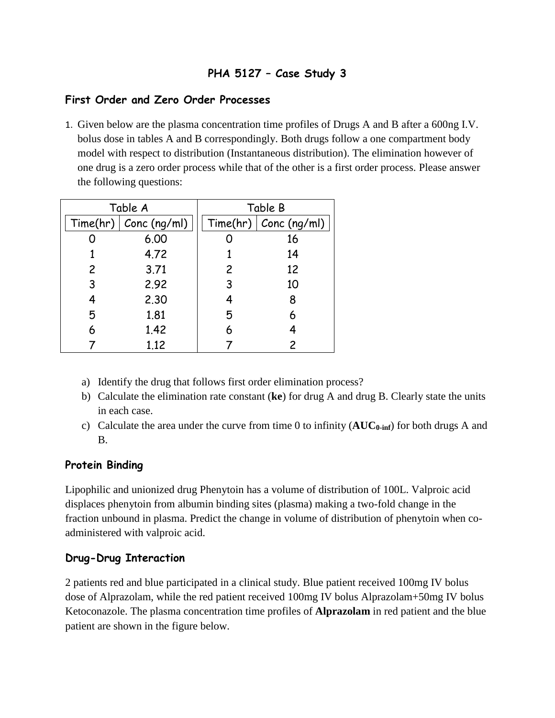# **PHA 5127 – Case Study 3**

### **First Order and Zero Order Processes**

1. Given below are the plasma concentration time profiles of Drugs A and B after a 600ng I.V. bolus dose in tables A and B correspondingly. Both drugs follow a one compartment body model with respect to distribution (Instantaneous distribution). The elimination however of one drug is a zero order process while that of the other is a first order process. Please answer the following questions:

| Table A |                         | Table B        |                         |
|---------|-------------------------|----------------|-------------------------|
|         | Time/hr)   Cone (ng/ml) |                | Time(hr)   Conc (ng/ml) |
|         | 6.00                    |                | 16                      |
|         | 4.72                    |                | 14                      |
| 2       | 3.71                    | $\overline{c}$ | 12                      |
| 3       | 2.92                    | 3              | 10                      |
| 4       | 2.30                    | 4              | 8                       |
| 5       | 1.81                    | 5              | 6                       |
| 6       | 1.42                    | 6              |                         |
|         | 1.12                    |                |                         |

- a) Identify the drug that follows first order elimination process?
- b) Calculate the elimination rate constant (**ke**) for drug A and drug B. Clearly state the units in each case.
- c) Calculate the area under the curve from time 0 to infinity (**AUC0-inf**) for both drugs A and B.

### **Protein Binding**

Lipophilic and unionized drug Phenytoin has a volume of distribution of 100L. Valproic acid displaces phenytoin from albumin binding sites (plasma) making a two-fold change in the fraction unbound in plasma. Predict the change in volume of distribution of phenytoin when coadministered with valproic acid.

#### **Drug-Drug Interaction**

2 patients red and blue participated in a clinical study. Blue patient received 100mg IV bolus dose of Alprazolam, while the red patient received 100mg IV bolus Alprazolam+50mg IV bolus Ketoconazole. The plasma concentration time profiles of **Alprazolam** in red patient and the blue patient are shown in the figure below.